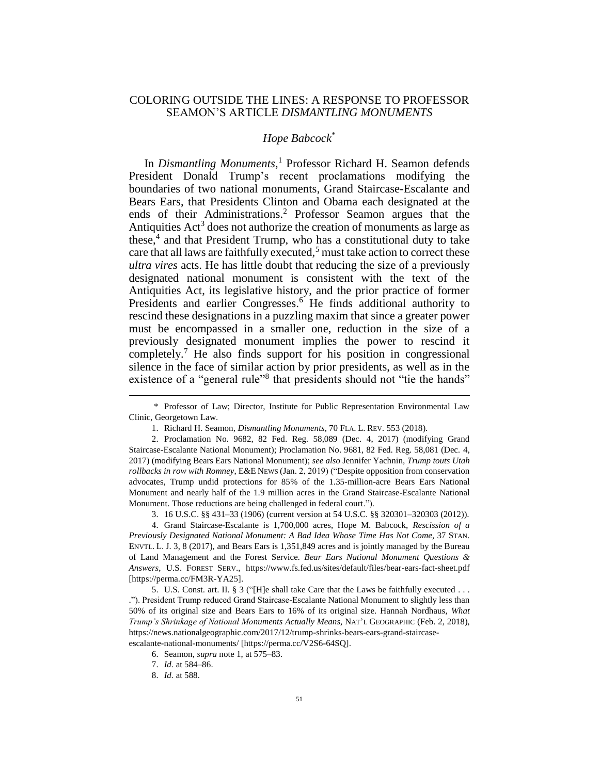## COLORING OUTSIDE THE LINES: A RESPONSE TO PROFESSOR SEAMON'S ARTICLE *DISMANTLING MONUMENTS*

#### <span id="page-0-0"></span>*Hope Babcock*\*

<span id="page-0-1"></span>In *Dismantling Monuments*, <sup>1</sup> Professor Richard H. Seamon defends President Donald Trump's recent proclamations modifying the boundaries of two national monuments, Grand Staircase-Escalante and Bears Ears, that Presidents Clinton and Obama each designated at the ends of their Administrations. <sup>2</sup> Professor Seamon argues that the Antiquities Act<sup>3</sup> does not authorize the creation of monuments as large as these, 4 and that President Trump, who has a constitutional duty to take care that all laws are faithfully executed,<sup>5</sup> must take action to correct these *ultra vires* acts. He has little doubt that reducing the size of a previously designated national monument is consistent with the text of the Antiquities Act, its legislative history, and the prior practice of former Presidents and earlier Congresses.<sup>6</sup> He finds additional authority to rescind these designations in a puzzling maxim that since a greater power must be encompassed in a smaller one, reduction in the size of a previously designated monument implies the power to rescind it completely.<sup>7</sup> He also finds support for his position in congressional silence in the face of similar action by prior presidents, as well as in the existence of a "general rule"<sup>8</sup> that presidents should not "tie the hands"

<sup>\*</sup> Professor of Law; Director, Institute for Public Representation Environmental Law Clinic, Georgetown Law.

<sup>1.</sup> Richard H. Seamon, *Dismantling Monuments*, 70 FLA. L. REV. 553 (2018).

<sup>2.</sup> Proclamation No. 9682, 82 Fed. Reg. 58,089 (Dec. 4, 2017) (modifying Grand Staircase-Escalante National Monument); Proclamation No. 9681, 82 Fed. Reg. 58,081 (Dec. 4, 2017) (modifying Bears Ears National Monument); *see also* Jennifer Yachnin, *Trump touts Utah rollbacks in row with Romney*, E&E NEWS (Jan. 2, 2019) ("Despite opposition from conservation advocates, Trump undid protections for 85% of the 1.35-million-acre Bears Ears National Monument and nearly half of the 1.9 million acres in the Grand Staircase-Escalante National Monument. Those reductions are being challenged in federal court.").

<sup>3.</sup> 16 U.S.C. §§ 431–33 (1906) (current version at 54 U.S.C. §§ 320301–320303 (2012)).

<sup>4.</sup> Grand Staircase-Escalante is 1,700,000 acres, Hope M. Babcock, *Rescission of a Previously Designated National Monument: A Bad Idea Whose Time Has Not Come*, 37 STAN. ENVTL. L. J. 3, 8 (2017), and Bears Ears is 1,351,849 acres and is jointly managed by the Bureau of Land Management and the Forest Service. *Bear Ears National Monument Questions & Answers*, U.S. FOREST SERV., https://www.fs.fed.us/sites/default/files/bear-ears-fact-sheet.pdf [https://perma.cc/FM3R-YA25].

<sup>5.</sup> U.S. Const. art. II. § 3 ("[H]e shall take Care that the Laws be faithfully executed . . . ."). President Trump reduced Grand Staircase-Escalante National Monument to slightly less than 50% of its original size and Bears Ears to 16% of its original size. Hannah Nordhaus, *What Trump's Shrinkage of National Monuments Actually Means*, NAT'L GEOGRAPHIC (Feb. 2, 2018), https://news.nationalgeographic.com/2017/12/trump-shrinks-bears-ears-grand-staircaseescalante-national-monuments/ [https://perma.cc/V2S6-64SQ].

<sup>6.</sup> Seamon, *supra* note [1,](#page-0-0) at 575–83.

<sup>7.</sup> *Id.* at 584–86.

<sup>8.</sup> *Id.* at 588.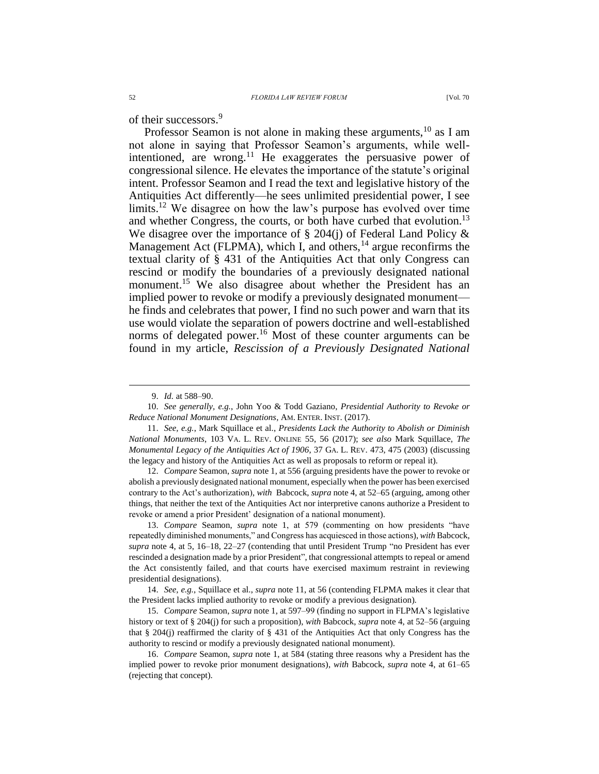of their successors.<sup>9</sup>

<span id="page-1-0"></span>Professor Seamon is not alone in making these arguments,<sup>10</sup> as I am not alone in saying that Professor Seamon's arguments, while wellintentioned, are wrong.<sup>11</sup> He exaggerates the persuasive power of congressional silence. He elevates the importance of the statute's original intent. Professor Seamon and I read the text and legislative history of the Antiquities Act differently—he sees unlimited presidential power, I see limits.<sup>12</sup> We disagree on how the law's purpose has evolved over time and whether Congress, the courts, or both have curbed that evolution.<sup>13</sup> We disagree over the importance of  $\S 204(i)$  of Federal Land Policy & Management Act (FLPMA), which I, and others,  $^{14}$  argue reconfirms the textual clarity of § 431 of the Antiquities Act that only Congress can rescind or modify the boundaries of a previously designated national monument.<sup>15</sup> We also disagree about whether the President has an implied power to revoke or modify a previously designated monument he finds and celebrates that power, I find no such power and warn that its use would violate the separation of powers doctrine and well-established norms of delegated power.<sup>16</sup> Most of these counter arguments can be found in my article, *Rescission of a Previously Designated National* 

 $\overline{a}$ 

11. *See, e.g.*, Mark Squillace et al., *Presidents Lack the Authority to Abolish or Diminish National Monuments*, 103 VA. L. REV. ONLINE 55, 56 (2017); *see also* Mark Squillace, *The Monumental Legacy of the Antiquities Act of 1906*, 37 GA. L. REV. 473, 475 (2003) (discussing the legacy and history of the Antiquities Act as well as proposals to reform or repeal it).

12. *Compare* Seamon, *supra* not[e 1,](#page-0-0) at 556 (arguing presidents have the power to revoke or abolish a previously designated national monument, especially when the power has been exercised contrary to the Act's authorization), *with* Babcock, *supra* not[e 4,](#page-0-1) at 52–65 (arguing, among other things, that neither the text of the Antiquities Act nor interpretive canons authorize a President to revoke or amend a prior President' designation of a national monument).

13. *Compare* Seamon, *supra* note [1,](#page-0-0) at 579 (commenting on how presidents "have repeatedly diminished monuments," and Congress has acquiesced in those actions), *with* Babcock, *supra* note [4,](#page-0-1) at 5, 16–18, 22–27 (contending that until President Trump "no President has ever rescinded a designation made by a prior President", that congressional attempts to repeal or amend the Act consistently failed, and that courts have exercised maximum restraint in reviewing presidential designations).

14. *See, e.g.*, Squillace et al., *supra* note [11,](#page-1-0) at 56 (contending FLPMA makes it clear that the President lacks implied authority to revoke or modify a previous designation).

15. *Compare* Seamon, *supra* not[e 1,](#page-0-0) at 597–99 (finding no support in FLPMA's legislative history or text of § 204(j) for such a proposition), *with* Babcock, *supra* note [4,](#page-0-1) at 52–56 (arguing that § 204(j) reaffirmed the clarity of § 431 of the Antiquities Act that only Congress has the authority to rescind or modify a previously designated national monument).

16. *Compare* Seamon, *supra* note [1,](#page-0-0) at 584 (stating three reasons why a President has the implied power to revoke prior monument designations), *with* Babcock, *supra* note [4,](#page-0-1) at 61–65 (rejecting that concept).

<sup>9.</sup> *Id.* at 588–90.

<sup>10.</sup> *See generally, e.g.*, John Yoo & Todd Gaziano, *Presidential Authority to Revoke or Reduce National Monument Designations*, AM. ENTER. INST. (2017).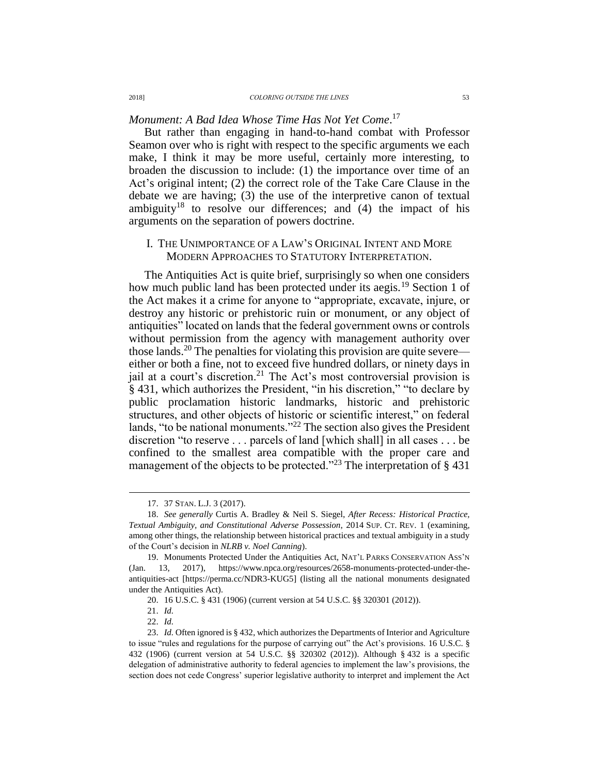# *Monument: A Bad Idea Whose Time Has Not Yet Come*. 17

But rather than engaging in hand-to-hand combat with Professor Seamon over who is right with respect to the specific arguments we each make, I think it may be more useful, certainly more interesting, to broaden the discussion to include: (1) the importance over time of an Act's original intent; (2) the correct role of the Take Care Clause in the debate we are having; (3) the use of the interpretive canon of textual ambiguity<sup>18</sup> to resolve our differences; and  $(4)$  the impact of his arguments on the separation of powers doctrine.

#### <span id="page-2-0"></span>I. THE UNIMPORTANCE OF A LAW'S ORIGINAL INTENT AND MORE MODERN APPROACHES TO STATUTORY INTERPRETATION.

The Antiquities Act is quite brief, surprisingly so when one considers how much public land has been protected under its aegis.<sup>19</sup> Section 1 of the Act makes it a crime for anyone to "appropriate, excavate, injure, or destroy any historic or prehistoric ruin or monument, or any object of antiquities" located on lands that the federal government owns or controls without permission from the agency with management authority over those lands.<sup>20</sup> The penalties for violating this provision are quite severe either or both a fine, not to exceed five hundred dollars, or ninety days in jail at a court's discretion.<sup>21</sup> The Act's most controversial provision is § 431, which authorizes the President, "in his discretion," "to declare by public proclamation historic landmarks, historic and prehistoric structures, and other objects of historic or scientific interest," on federal lands, "to be national monuments."<sup>22</sup> The section also gives the President discretion "to reserve . . . parcels of land [which shall] in all cases . . . be confined to the smallest area compatible with the proper care and management of the objects to be protected."<sup>23</sup> The interpretation of  $\S$  431

<sup>17.</sup> 37 STAN. L.J. 3 (2017).

<sup>18.</sup> *See generally* Curtis A. Bradley & Neil S. Siegel, *After Recess: Historical Practice, Textual Ambiguity, and Constitutional Adverse Possession*, 2014 SUP. CT. REV. 1 (examining, among other things, the relationship between historical practices and textual ambiguity in a study of the Court's decision in *NLRB v. Noel Canning*).

<sup>19.</sup> Monuments Protected Under the Antiquities Act, NAT'L PARKS CONSERVATION ASS'N (Jan. 13, 2017), https://www.npca.org/resources/2658-monuments-protected-under-theantiquities-act [https://perma.cc/NDR3-KUG5] (listing all the national monuments designated under the Antiquities Act).

<sup>20.</sup> 16 U.S.C. § 431 (1906) (current version at 54 U.S.C. §§ 320301 (2012)).

<sup>21.</sup> *Id.* 

<sup>22.</sup> *Id.* 

<sup>23.</sup> *Id.* Often ignored is § 432, which authorizes the Departments of Interior and Agriculture to issue "rules and regulations for the purpose of carrying out" the Act's provisions. 16 U.S.C. § 432 (1906) (current version at 54 U.S.C. §§ 320302 (2012)). Although § 432 is a specific delegation of administrative authority to federal agencies to implement the law's provisions, the section does not cede Congress' superior legislative authority to interpret and implement the Act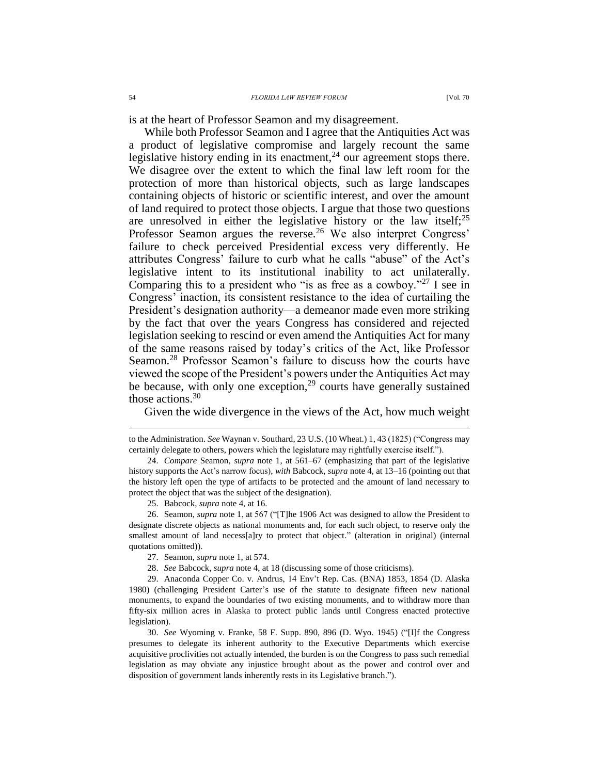is at the heart of Professor Seamon and my disagreement.

While both Professor Seamon and I agree that the Antiquities Act was a product of legislative compromise and largely recount the same legislative history ending in its enactment,  $24$  our agreement stops there. We disagree over the extent to which the final law left room for the protection of more than historical objects, such as large landscapes containing objects of historic or scientific interest, and over the amount of land required to protect those objects. I argue that those two questions are unresolved in either the legislative history or the law itself;  $2^5$ Professor Seamon argues the reverse.<sup>26</sup> We also interpret Congress' failure to check perceived Presidential excess very differently. He attributes Congress' failure to curb what he calls "abuse" of the Act's legislative intent to its institutional inability to act unilaterally. Comparing this to a president who "is as free as a cowboy."<sup>27</sup> I see in Congress' inaction, its consistent resistance to the idea of curtailing the President's designation authority––a demeanor made even more striking by the fact that over the years Congress has considered and rejected legislation seeking to rescind or even amend the Antiquities Act for many of the same reasons raised by today's critics of the Act, like Professor Seamon.<sup>28</sup> Professor Seamon's failure to discuss how the courts have viewed the scope of the President's powers under the Antiquities Act may be because, with only one exception, $29$  courts have generally sustained those actions. $30$ 

Given the wide divergence in the views of the Act, how much weight

to the Administration. *See* Waynan v. Southard, 23 U.S. (10 Wheat.) 1, 43 (1825) ("Congress may certainly delegate to others, powers which the legislature may rightfully exercise itself.").

<sup>24.</sup> *Compare* Seamon, *supra* note [1,](#page-0-0) at 561–67 (emphasizing that part of the legislative history supports the Act's narrow focus), *with* Babcock, *supra* not[e 4,](#page-0-1) at 13–16 (pointing out that the history left open the type of artifacts to be protected and the amount of land necessary to protect the object that was the subject of the designation).

<sup>25.</sup> Babcock, *supra* not[e 4,](#page-0-1) at 16.

<sup>26.</sup> Seamon, *supra* note [1,](#page-0-0) at 567 ("[T]he 1906 Act was designed to allow the President to designate discrete objects as national monuments and, for each such object, to reserve only the smallest amount of land necess[a]ry to protect that object." (alteration in original) (internal quotations omitted)).

<sup>27.</sup> Seamon, *supra* note [1,](#page-0-0) at 574.

<sup>28.</sup> *See* Babcock, *supra* note [4,](#page-0-1) at 18 (discussing some of those criticisms).

<sup>29.</sup> Anaconda Copper Co. v. Andrus, 14 Env't Rep. Cas. (BNA) 1853, 1854 (D. Alaska 1980) (challenging President Carter's use of the statute to designate fifteen new national monuments, to expand the boundaries of two existing monuments, and to withdraw more than fifty-six million acres in Alaska to protect public lands until Congress enacted protective legislation).

<sup>30.</sup> *See* Wyoming v. Franke, 58 F. Supp. 890, 896 (D. Wyo. 1945) ("[I]f the Congress presumes to delegate its inherent authority to the Executive Departments which exercise acquisitive proclivities not actually intended, the burden is on the Congress to pass such remedial legislation as may obviate any injustice brought about as the power and control over and disposition of government lands inherently rests in its Legislative branch.").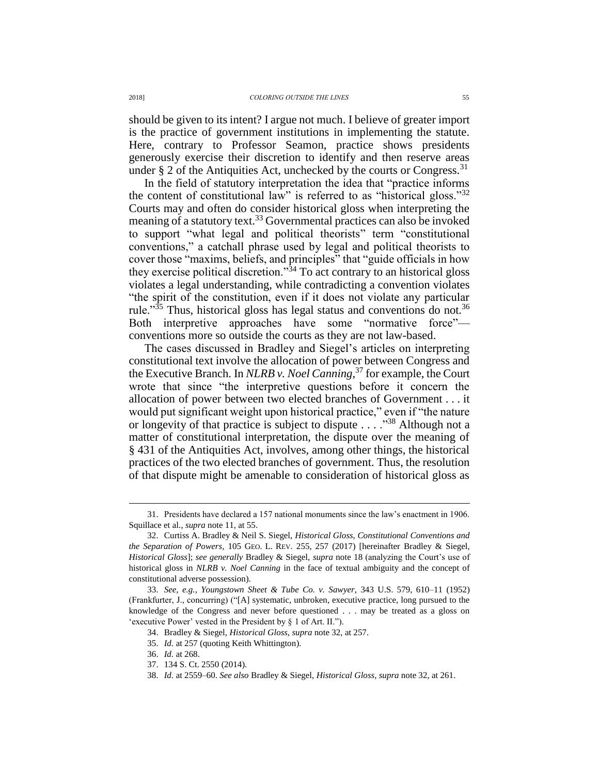should be given to its intent? I argue not much. I believe of greater import is the practice of government institutions in implementing the statute. Here, contrary to Professor Seamon, practice shows presidents generously exercise their discretion to identify and then reserve areas under § 2 of the Antiquities Act, unchecked by the courts or Congress.<sup>31</sup>

<span id="page-4-0"></span>In the field of statutory interpretation the idea that "practice informs the content of constitutional law" is referred to as "historical gloss."<sup>32</sup> Courts may and often do consider historical gloss when interpreting the meaning of a statutory text.<sup>33</sup> Governmental practices can also be invoked to support "what legal and political theorists" term "constitutional conventions," a catchall phrase used by legal and political theorists to cover those "maxims, beliefs, and principles" that "guide officials in how they exercise political discretion.<sup>34</sup> To act contrary to an historical gloss violates a legal understanding, while contradicting a convention violates "the spirit of the constitution, even if it does not violate any particular rule."<sup>35</sup> Thus, historical gloss has legal status and conventions do not.<sup>36</sup> Both interpretive approaches have some "normative force" conventions more so outside the courts as they are not law-based.

The cases discussed in Bradley and Siegel's articles on interpreting constitutional text involve the allocation of power between Congress and the Executive Branch. In *NLRB v. Noel Canning*, <sup>37</sup> for example, the Court wrote that since "the interpretive questions before it concern the allocation of power between two elected branches of Government . . . it would put significant weight upon historical practice," even if "the nature or longevity of that practice is subject to dispute . . . . "<sup>38</sup> Although not a matter of constitutional interpretation, the dispute over the meaning of § 431 of the Antiquities Act, involves, among other things, the historical practices of the two elected branches of government. Thus, the resolution of that dispute might be amenable to consideration of historical gloss as

<sup>31.</sup> Presidents have declared a 157 national monuments since the law's enactment in 1906. Squillace et al., *supra* note [11,](#page-1-0) at 55.

<sup>32.</sup> Curtiss A. Bradley & Neil S. Siegel, *Historical Gloss, Constitutional Conventions and the Separation of Powers*, 105 GEO. L. REV. 255, 257 (2017) [hereinafter Bradley & Siegel, *Historical Gloss*]; *see generally* Bradley & Siegel, *supra* note [18](#page-2-0) (analyzing the Court's use of historical gloss in *NLRB v. Noel Canning* in the face of textual ambiguity and the concept of constitutional adverse possession).

<sup>33.</sup> *See, e.g.*, *Youngstown Sheet & Tube Co. v. Sawyer*, 343 U.S. 579, 610–11 (1952) (Frankfurter, J., concurring) ("[A] systematic, unbroken, executive practice, long pursued to the knowledge of the Congress and never before questioned . . . may be treated as a gloss on 'executive Power' vested in the President by § 1 of Art. II.").

<sup>34.</sup> Bradley & Siegel, *Historical Gloss*, *supra* note [32,](#page-4-0) at 257.

<sup>35.</sup> *Id.* at 257 (quoting Keith Whittington).

<sup>36.</sup> *Id.* at 268.

<sup>37.</sup> 134 S. Ct. 2550 (2014).

<sup>38.</sup> *Id.* at 2559–60. *See also* Bradley & Siegel, *Historical Gloss*, *supra* not[e 32,](#page-4-0) at 261.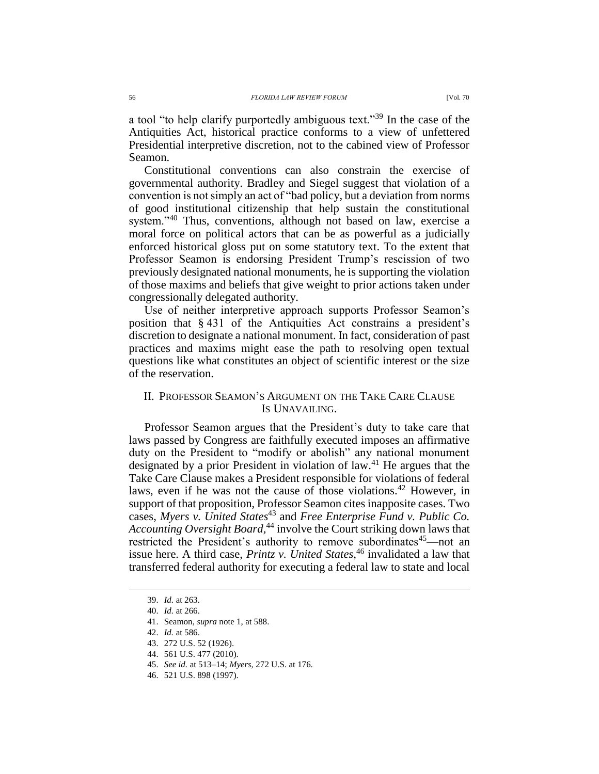a tool "to help clarify purportedly ambiguous text."<sup>39</sup> In the case of the Antiquities Act, historical practice conforms to a view of unfettered Presidential interpretive discretion, not to the cabined view of Professor Seamon.

Constitutional conventions can also constrain the exercise of governmental authority. Bradley and Siegel suggest that violation of a convention is not simply an act of "bad policy, but a deviation from norms of good institutional citizenship that help sustain the constitutional system."<sup>40</sup> Thus, conventions, although not based on law, exercise a moral force on political actors that can be as powerful as a judicially enforced historical gloss put on some statutory text. To the extent that Professor Seamon is endorsing President Trump's rescission of two previously designated national monuments, he is supporting the violation of those maxims and beliefs that give weight to prior actions taken under congressionally delegated authority.

Use of neither interpretive approach supports Professor Seamon's position that § 431 of the Antiquities Act constrains a president's discretion to designate a national monument. In fact, consideration of past practices and maxims might ease the path to resolving open textual questions like what constitutes an object of scientific interest or the size of the reservation.

### II. PROFESSOR SEAMON'S ARGUMENT ON THE TAKE CARE CLAUSE IS UNAVAILING.

Professor Seamon argues that the President's duty to take care that laws passed by Congress are faithfully executed imposes an affirmative duty on the President to "modify or abolish" any national monument designated by a prior President in violation of law.<sup>41</sup> He argues that the Take Care Clause makes a President responsible for violations of federal laws, even if he was not the cause of those violations.<sup>42</sup> However, in support of that proposition, Professor Seamon cites inapposite cases. Two cases, *Myers v. United States*<sup>43</sup> and *Free Enterprise Fund v. Public Co. Accounting Oversight Board,* <sup>44</sup> involve the Court striking down laws that restricted the President's authority to remove subordinates<sup>45</sup>—not an issue here. A third case, *Printz v. United States*, <sup>46</sup> invalidated a law that transferred federal authority for executing a federal law to state and local

<sup>39.</sup> *Id.* at 263.

<sup>40.</sup> *Id.* at 266.

<sup>41.</sup> Seamon, *supra* note [1,](#page-0-0) at 588.

<sup>42.</sup> *Id.* at 586.

<sup>43.</sup> 272 U.S. 52 (1926).

<sup>44.</sup> 561 U.S. 477 (2010).

<sup>45.</sup> *See id.* at 513–14; *Myers*, 272 U.S. at 176.

<sup>46.</sup> 521 U.S. 898 (1997).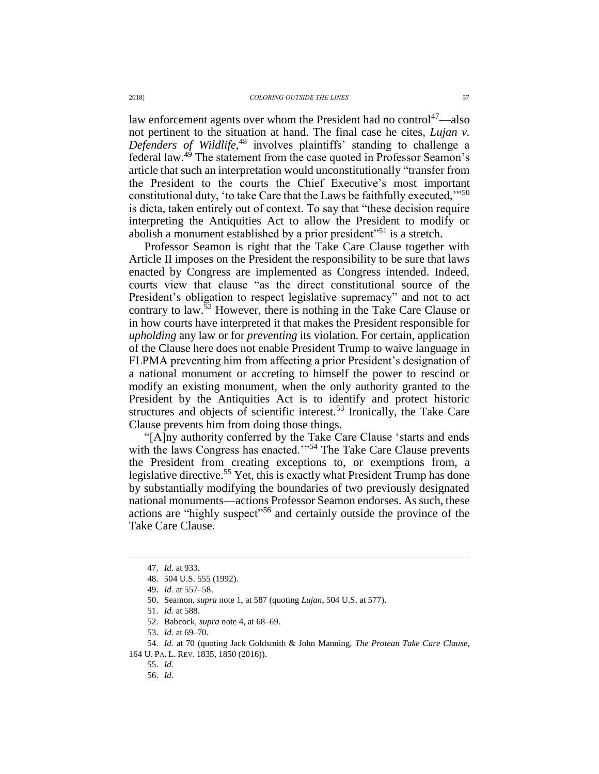law enforcement agents over whom the President had no control<sup>47</sup>—also not pertinent to the situation at hand. The final case he cites, *Lujan v. Defenders of Wildlife*, <sup>48</sup> involves plaintiffs' standing to challenge a federal law.<sup>49</sup> The statement from the case quoted in Professor Seamon's article that such an interpretation would unconstitutionally "transfer from the President to the courts the Chief Executive's most important constitutional duty, 'to take Care that the Laws be faithfully executed,'"<sup>50</sup> is dicta, taken entirely out of context. To say that "these decision require interpreting the Antiquities Act to allow the President to modify or abolish a monument established by a prior president<sup>"51</sup> is a stretch.

Professor Seamon is right that the Take Care Clause together with Article II imposes on the President the responsibility to be sure that laws enacted by Congress are implemented as Congress intended. Indeed, courts view that clause "as the direct constitutional source of the President's obligation to respect legislative supremacy" and not to act contrary to law.<sup>52</sup> However, there is nothing in the Take Care Clause or in how courts have interpreted it that makes the President responsible for *upholding* any law or for *preventing* its violation. For certain, application of the Clause here does not enable President Trump to waive language in FLPMA preventing him from affecting a prior President's designation of a national monument or accreting to himself the power to rescind or modify an existing monument, when the only authority granted to the President by the Antiquities Act is to identify and protect historic structures and objects of scientific interest.<sup>53</sup> Ironically, the Take Care Clause prevents him from doing those things.

"[A]ny authority conferred by the Take Care Clause 'starts and ends with the laws Congress has enacted.'"<sup>54</sup> The Take Care Clause prevents the President from creating exceptions to, or exemptions from, a legislative directive.<sup>55</sup> Yet, this is exactly what President Trump has done by substantially modifying the boundaries of two previously designated national monuments—actions Professor Seamon endorses. As such, these actions are "highly suspect"<sup>56</sup> and certainly outside the province of the Take Care Clause.

<sup>47.</sup> *Id.* at 933.

<sup>48.</sup> 504 U.S. 555 (1992).

<sup>49.</sup> *Id.* at 557–58.

<sup>50.</sup> Seamon, *supra* note [1,](#page-0-0) at 587 (quoting *Lujan*, 504 U.S. at 577).

<sup>51.</sup> *Id.* at 588.

<sup>52.</sup> Babcock, *supra* not[e 4,](#page-0-1) at 68–69.

<sup>53.</sup> *Id.* at 69–70.

<sup>54.</sup> *Id.* at 70 (quoting Jack Goldsmith & John Manning, *The Protean Take Care Clause*, 164 U. PA. L. REV. 1835, 1850 (2016)).

<sup>55.</sup> *Id.*

<sup>56.</sup> *Id.*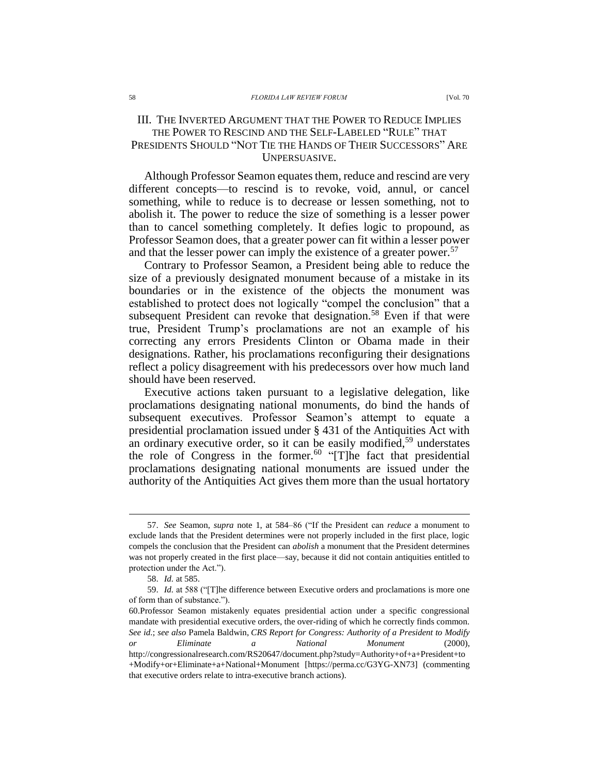## III. THE INVERTED ARGUMENT THAT THE POWER TO REDUCE IMPLIES THE POWER TO RESCIND AND THE SELF-LABELED "RULE" THAT PRESIDENTS SHOULD "NOT TIE THE HANDS OF THEIR SUCCESSORS" ARE UNPERSUASIVE.

Although Professor Seamon equates them, reduce and rescind are very different concepts—to rescind is to revoke, void, annul, or cancel something, while to reduce is to decrease or lessen something, not to abolish it. The power to reduce the size of something is a lesser power than to cancel something completely. It defies logic to propound, as Professor Seamon does, that a greater power can fit within a lesser power and that the lesser power can imply the existence of a greater power.<sup>57</sup>

Contrary to Professor Seamon, a President being able to reduce the size of a previously designated monument because of a mistake in its boundaries or in the existence of the objects the monument was established to protect does not logically "compel the conclusion" that a subsequent President can revoke that designation.<sup>58</sup> Even if that were true, President Trump's proclamations are not an example of his correcting any errors Presidents Clinton or Obama made in their designations. Rather, his proclamations reconfiguring their designations reflect a policy disagreement with his predecessors over how much land should have been reserved.

Executive actions taken pursuant to a legislative delegation, like proclamations designating national monuments, do bind the hands of subsequent executives. Professor Seamon's attempt to equate a presidential proclamation issued under § 431 of the Antiquities Act with an ordinary executive order, so it can be easily modified,<sup>59</sup> understates the role of Congress in the former.<sup>60</sup> "[T]he fact that presidential proclamations designating national monuments are issued under the authority of the Antiquities Act gives them more than the usual hortatory

<sup>57.</sup> *See* Seamon, *supra* note [1,](#page-0-0) at 584–86 ("If the President can *reduce* a monument to exclude lands that the President determines were not properly included in the first place, logic compels the conclusion that the President can *abolish* a monument that the President determines was not properly created in the first place—say, because it did not contain antiquities entitled to protection under the Act.").

<sup>58.</sup> *Id.* at 585.

<sup>59.</sup> *Id.* at 588 ("[T]he difference between Executive orders and proclamations is more one of form than of substance.").

<sup>60.</sup>Professor Seamon mistakenly equates presidential action under a specific congressional mandate with presidential executive orders, the over-riding of which he correctly finds common. *See id.*; *see also* Pamela Baldwin, *CRS Report for Congress: Authority of a President to Modify or Eliminate a National Monument* (2000), http://congressionalresearch.com/RS20647/document.php?study=Authority+of+a+President+to +Modify+or+Eliminate+a+National+Monument [https://perma.cc/G3YG-XN73] (commenting that executive orders relate to intra-executive branch actions).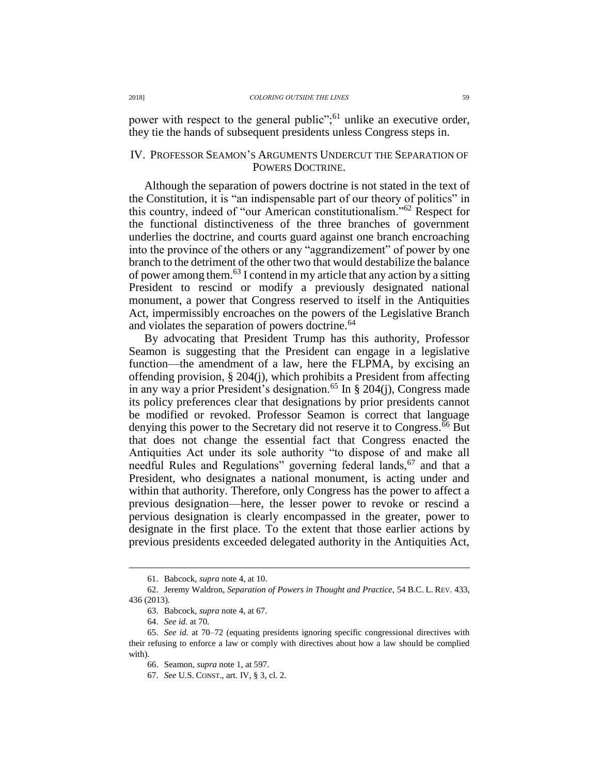power with respect to the general public";<sup>61</sup> unlike an executive order, they tie the hands of subsequent presidents unless Congress steps in.

#### IV. PROFESSOR SEAMON'S ARGUMENTS UNDERCUT THE SEPARATION OF POWERS DOCTRINE.

Although the separation of powers doctrine is not stated in the text of the Constitution, it is "an indispensable part of our theory of politics" in this country, indeed of "our American constitutionalism."<sup>62</sup> Respect for the functional distinctiveness of the three branches of government underlies the doctrine, and courts guard against one branch encroaching into the province of the others or any "aggrandizement" of power by one branch to the detriment of the other two that would destabilize the balance of power among them.<sup>63</sup> I contend in my article that any action by a sitting President to rescind or modify a previously designated national monument, a power that Congress reserved to itself in the Antiquities Act, impermissibly encroaches on the powers of the Legislative Branch and violates the separation of powers doctrine.<sup>64</sup>

By advocating that President Trump has this authority, Professor Seamon is suggesting that the President can engage in a legislative function—the amendment of a law, here the FLPMA, by excising an offending provision, § 204(j), which prohibits a President from affecting in any way a prior President's designation.<sup>65</sup> In § 204(j), Congress made its policy preferences clear that designations by prior presidents cannot be modified or revoked. Professor Seamon is correct that language denying this power to the Secretary did not reserve it to Congress.<sup>66</sup> But that does not change the essential fact that Congress enacted the Antiquities Act under its sole authority "to dispose of and make all needful Rules and Regulations" governing federal lands,  $67$  and that a President, who designates a national monument, is acting under and within that authority. Therefore, only Congress has the power to affect a previous designation—here, the lesser power to revoke or rescind a pervious designation is clearly encompassed in the greater, power to designate in the first place. To the extent that those earlier actions by previous presidents exceeded delegated authority in the Antiquities Act,

<sup>61.</sup> Babcock, *supra* not[e 4,](#page-0-1) at 10.

<sup>62.</sup> Jeremy Waldron, *Separation of Powers in Thought and Practice*, 54 B.C. L. REV. 433, 436 (2013).

<sup>63.</sup> Babcock, *supra* not[e 4,](#page-0-1) at 67.

<sup>64.</sup> *See id.* at 70.

<sup>65.</sup> *See id.* at 70–72 (equating presidents ignoring specific congressional directives with their refusing to enforce a law or comply with directives about how a law should be complied with).

<sup>66.</sup> Seamon, *supra* note [1,](#page-0-0) at 597.

<sup>67.</sup> *See* U.S. CONST., art. IV, § 3, cl. 2.